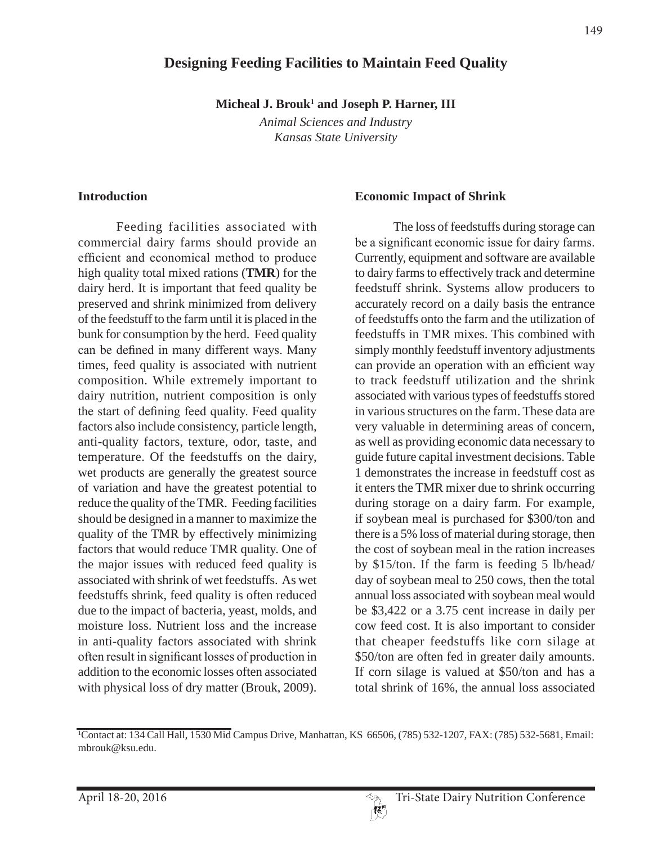# **Designing Feeding Facilities to Maintain Feed Quality**

Micheal J. Brouk<sup>1</sup> and Joseph P. Harner, III

*Animal Sciences and Industry Kansas State University*

#### **Introduction**

Feeding facilities associated with commercial dairy farms should provide an efficient and economical method to produce high quality total mixed rations (**TMR**) for the dairy herd. It is important that feed quality be preserved and shrink minimized from delivery of the feedstuff to the farm until it is placed in the bunk for consumption by the herd. Feed quality can be defined in many different ways. Many times, feed quality is associated with nutrient composition. While extremely important to dairy nutrition, nutrient composition is only the start of defining feed quality. Feed quality factors also include consistency, particle length, anti-quality factors, texture, odor, taste, and temperature. Of the feedstuffs on the dairy, wet products are generally the greatest source of variation and have the greatest potential to reduce the quality of the TMR. Feeding facilities should be designed in a manner to maximize the quality of the TMR by effectively minimizing factors that would reduce TMR quality. One of the major issues with reduced feed quality is associated with shrink of wet feedstuffs. As wet feedstuffs shrink, feed quality is often reduced due to the impact of bacteria, yeast, molds, and moisture loss. Nutrient loss and the increase in anti-quality factors associated with shrink often result in significant losses of production in addition to the economic losses often associated with physical loss of dry matter (Brouk, 2009).

#### **Economic Impact of Shrink**

The loss of feedstuffs during storage can be a significant economic issue for dairy farms. Currently, equipment and software are available to dairy farms to effectively track and determine feedstuff shrink. Systems allow producers to accurately record on a daily basis the entrance of feedstuffs onto the farm and the utilization of feedstuffs in TMR mixes. This combined with simply monthly feedstuff inventory adjustments can provide an operation with an efficient way to track feedstuff utilization and the shrink associated with various types of feedstuffs stored in various structures on the farm. These data are very valuable in determining areas of concern, as well as providing economic data necessary to guide future capital investment decisions. Table 1 demonstrates the increase in feedstuff cost as it enters the TMR mixer due to shrink occurring during storage on a dairy farm. For example, if soybean meal is purchased for \$300/ton and there is a 5% loss of material during storage, then the cost of soybean meal in the ration increases by \$15/ton. If the farm is feeding 5 lb/head/ day of soybean meal to 250 cows, then the total annual loss associated with soybean meal would be \$3,422 or a 3.75 cent increase in daily per cow feed cost. It is also important to consider that cheaper feedstuffs like corn silage at \$50/ton are often fed in greater daily amounts. If corn silage is valued at \$50/ton and has a total shrink of 16%, the annual loss associated

<sup>1</sup> Contact at: 134 Call Hall, 1530 Mid Campus Drive, Manhattan, KS 66506, (785) 532-1207, FAX: (785) 532-5681, Email: mbrouk@ksu.edu.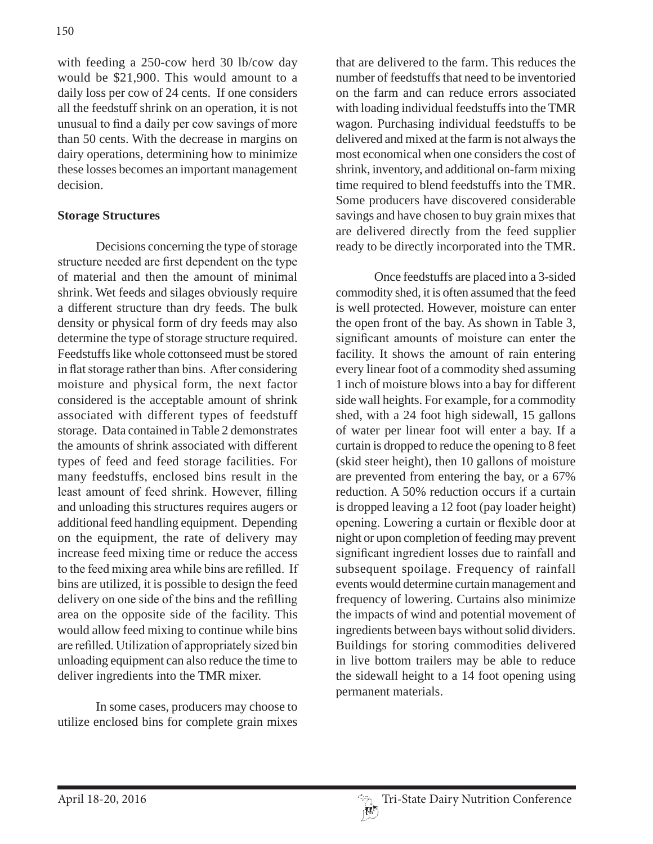with feeding a 250-cow herd 30 lb/cow day would be \$21,900. This would amount to a daily loss per cow of 24 cents. If one considers all the feedstuff shrink on an operation, it is not unusual to find a daily per cow savings of more than 50 cents. With the decrease in margins on dairy operations, determining how to minimize these losses becomes an important management decision.

### **Storage Structures**

Decisions concerning the type of storage structure needed are first dependent on the type of material and then the amount of minimal shrink. Wet feeds and silages obviously require a different structure than dry feeds. The bulk density or physical form of dry feeds may also determine the type of storage structure required. Feedstuffs like whole cottonseed must be stored in flat storage rather than bins. After considering moisture and physical form, the next factor considered is the acceptable amount of shrink associated with different types of feedstuff storage. Data contained in Table 2 demonstrates the amounts of shrink associated with different types of feed and feed storage facilities. For many feedstuffs, enclosed bins result in the least amount of feed shrink. However, filling and unloading this structures requires augers or additional feed handling equipment. Depending on the equipment, the rate of delivery may increase feed mixing time or reduce the access to the feed mixing area while bins are refilled. If bins are utilized, it is possible to design the feed delivery on one side of the bins and the refilling area on the opposite side of the facility. This would allow feed mixing to continue while bins are refilled. Utilization of appropriately sized bin unloading equipment can also reduce the time to deliver ingredients into the TMR mixer.

In some cases, producers may choose to utilize enclosed bins for complete grain mixes

that are delivered to the farm. This reduces the number of feedstuffs that need to be inventoried on the farm and can reduce errors associated with loading individual feedstuffs into the TMR wagon. Purchasing individual feedstuffs to be delivered and mixed at the farm is not always the most economical when one considers the cost of shrink, inventory, and additional on-farm mixing time required to blend feedstuffs into the TMR. Some producers have discovered considerable savings and have chosen to buy grain mixes that are delivered directly from the feed supplier ready to be directly incorporated into the TMR.

Once feedstuffs are placed into a 3-sided commodity shed, it is often assumed that the feed is well protected. However, moisture can enter the open front of the bay. As shown in Table 3, significant amounts of moisture can enter the facility. It shows the amount of rain entering every linear foot of a commodity shed assuming 1 inch of moisture blows into a bay for different side wall heights. For example, for a commodity shed, with a 24 foot high sidewall, 15 gallons of water per linear foot will enter a bay. If a curtain is dropped to reduce the opening to 8 feet (skid steer height), then 10 gallons of moisture are prevented from entering the bay, or a 67% reduction. A 50% reduction occurs if a curtain is dropped leaving a 12 foot (pay loader height) opening. Lowering a curtain or flexible door at night or upon completion of feeding may prevent significant ingredient losses due to rainfall and subsequent spoilage. Frequency of rainfall events would determine curtain management and frequency of lowering. Curtains also minimize the impacts of wind and potential movement of ingredients between bays without solid dividers. Buildings for storing commodities delivered in live bottom trailers may be able to reduce the sidewall height to a 14 foot opening using permanent materials.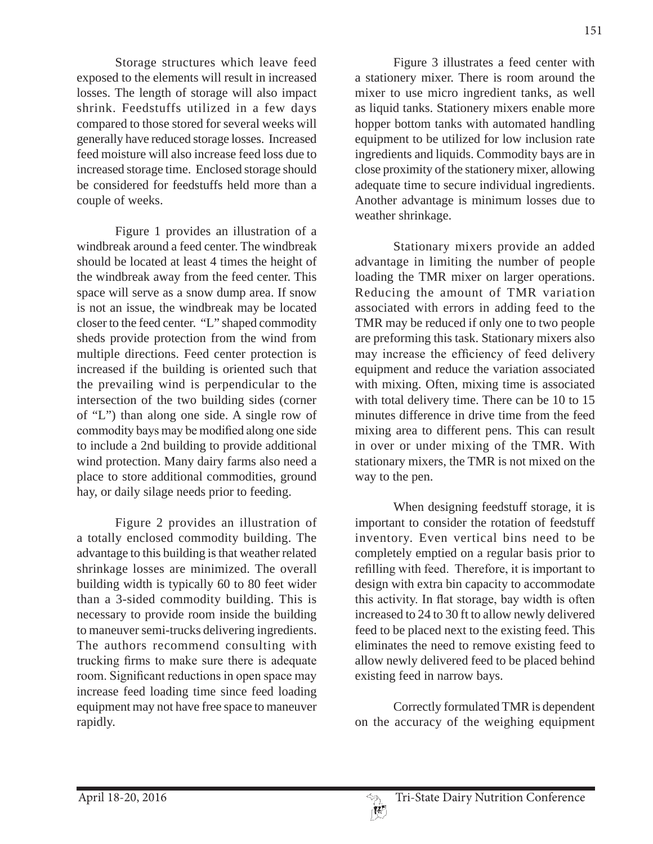Storage structures which leave feed exposed to the elements will result in increased losses. The length of storage will also impact shrink. Feedstuffs utilized in a few days compared to those stored for several weeks will generally have reduced storage losses. Increased feed moisture will also increase feed loss due to increased storage time. Enclosed storage should be considered for feedstuffs held more than a couple of weeks.

Figure 1 provides an illustration of a windbreak around a feed center. The windbreak should be located at least 4 times the height of the windbreak away from the feed center. This space will serve as a snow dump area. If snow is not an issue, the windbreak may be located closer to the feed center. "L" shaped commodity sheds provide protection from the wind from multiple directions. Feed center protection is increased if the building is oriented such that the prevailing wind is perpendicular to the intersection of the two building sides (corner of "L") than along one side. A single row of commodity bays may be modified along one side to include a 2nd building to provide additional wind protection. Many dairy farms also need a place to store additional commodities, ground hay, or daily silage needs prior to feeding.

Figure 2 provides an illustration of a totally enclosed commodity building. The advantage to this building is that weather related shrinkage losses are minimized. The overall building width is typically 60 to 80 feet wider than a 3-sided commodity building. This is necessary to provide room inside the building to maneuver semi-trucks delivering ingredients. The authors recommend consulting with trucking firms to make sure there is adequate room. Significant reductions in open space may increase feed loading time since feed loading equipment may not have free space to maneuver rapidly.

Figure 3 illustrates a feed center with a stationery mixer. There is room around the mixer to use micro ingredient tanks, as well as liquid tanks. Stationery mixers enable more hopper bottom tanks with automated handling equipment to be utilized for low inclusion rate ingredients and liquids. Commodity bays are in close proximity of the stationery mixer, allowing adequate time to secure individual ingredients. Another advantage is minimum losses due to weather shrinkage.

Stationary mixers provide an added advantage in limiting the number of people loading the TMR mixer on larger operations. Reducing the amount of TMR variation associated with errors in adding feed to the TMR may be reduced if only one to two people are preforming this task. Stationary mixers also may increase the efficiency of feed delivery equipment and reduce the variation associated with mixing. Often, mixing time is associated with total delivery time. There can be 10 to 15 minutes difference in drive time from the feed mixing area to different pens. This can result in over or under mixing of the TMR. With stationary mixers, the TMR is not mixed on the way to the pen.

When designing feedstuff storage, it is important to consider the rotation of feedstuff inventory. Even vertical bins need to be completely emptied on a regular basis prior to refilling with feed. Therefore, it is important to design with extra bin capacity to accommodate this activity. In flat storage, bay width is often increased to 24 to 30 ft to allow newly delivered feed to be placed next to the existing feed. This eliminates the need to remove existing feed to allow newly delivered feed to be placed behind existing feed in narrow bays.

Correctly formulated TMR is dependent on the accuracy of the weighing equipment

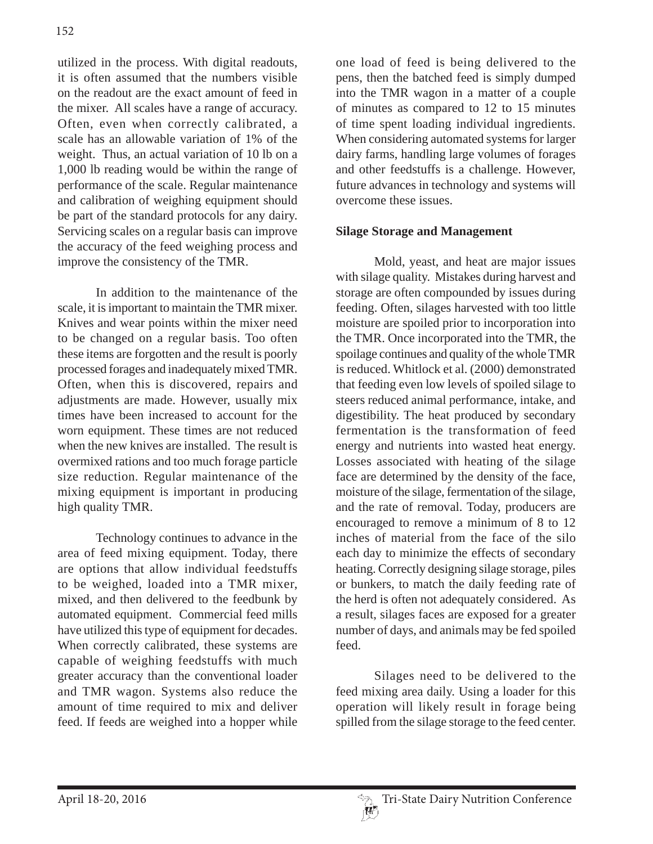utilized in the process. With digital readouts, it is often assumed that the numbers visible on the readout are the exact amount of feed in the mixer. All scales have a range of accuracy. Often, even when correctly calibrated, a scale has an allowable variation of 1% of the weight. Thus, an actual variation of 10 lb on a 1,000 lb reading would be within the range of performance of the scale. Regular maintenance and calibration of weighing equipment should be part of the standard protocols for any dairy. Servicing scales on a regular basis can improve the accuracy of the feed weighing process and improve the consistency of the TMR.

In addition to the maintenance of the scale, it is important to maintain the TMR mixer. Knives and wear points within the mixer need to be changed on a regular basis. Too often these items are forgotten and the result is poorly processed forages and inadequately mixed TMR. Often, when this is discovered, repairs and adjustments are made. However, usually mix times have been increased to account for the worn equipment. These times are not reduced when the new knives are installed. The result is overmixed rations and too much forage particle size reduction. Regular maintenance of the mixing equipment is important in producing high quality TMR.

Technology continues to advance in the area of feed mixing equipment. Today, there are options that allow individual feedstuffs to be weighed, loaded into a TMR mixer, mixed, and then delivered to the feedbunk by automated equipment. Commercial feed mills have utilized this type of equipment for decades. When correctly calibrated, these systems are capable of weighing feedstuffs with much greater accuracy than the conventional loader and TMR wagon. Systems also reduce the amount of time required to mix and deliver feed. If feeds are weighed into a hopper while

one load of feed is being delivered to the pens, then the batched feed is simply dumped into the TMR wagon in a matter of a couple of minutes as compared to 12 to 15 minutes of time spent loading individual ingredients. When considering automated systems for larger dairy farms, handling large volumes of forages and other feedstuffs is a challenge. However, future advances in technology and systems will overcome these issues.

### **Silage Storage and Management**

Mold, yeast, and heat are major issues with silage quality. Mistakes during harvest and storage are often compounded by issues during feeding. Often, silages harvested with too little moisture are spoiled prior to incorporation into the TMR. Once incorporated into the TMR, the spoilage continues and quality of the whole TMR is reduced. Whitlock et al. (2000) demonstrated that feeding even low levels of spoiled silage to steers reduced animal performance, intake, and digestibility. The heat produced by secondary fermentation is the transformation of feed energy and nutrients into wasted heat energy. Losses associated with heating of the silage face are determined by the density of the face, moisture of the silage, fermentation of the silage, and the rate of removal. Today, producers are encouraged to remove a minimum of 8 to 12 inches of material from the face of the silo each day to minimize the effects of secondary heating. Correctly designing silage storage, piles or bunkers, to match the daily feeding rate of the herd is often not adequately considered. As a result, silages faces are exposed for a greater number of days, and animals may be fed spoiled feed.

Silages need to be delivered to the feed mixing area daily. Using a loader for this operation will likely result in forage being spilled from the silage storage to the feed center.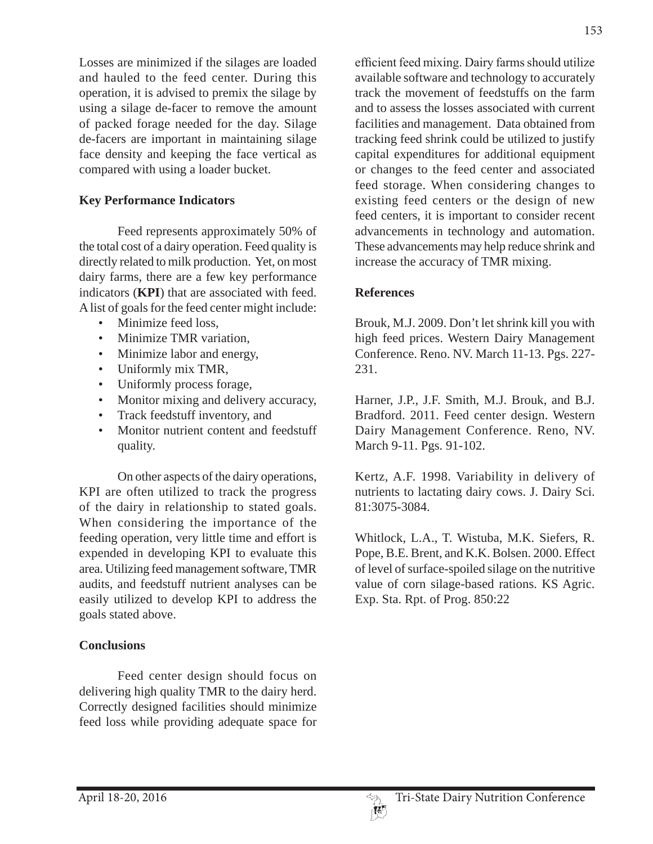Losses are minimized if the silages are loaded and hauled to the feed center. During this operation, it is advised to premix the silage by using a silage de-facer to remove the amount of packed forage needed for the day. Silage de-facers are important in maintaining silage face density and keeping the face vertical as compared with using a loader bucket.

### **Key Performance Indicators**

Feed represents approximately 50% of the total cost of a dairy operation. Feed quality is directly related to milk production. Yet, on most dairy farms, there are a few key performance indicators (**KPI**) that are associated with feed. A list of goals for the feed center might include:

- Minimize feed loss,
- Minimize TMR variation,
- Minimize labor and energy,
- Uniformly mix TMR,
- Uniformly process forage,
- Monitor mixing and delivery accuracy,
- Track feedstuff inventory, and
- Monitor nutrient content and feedstuff quality.

On other aspects of the dairy operations, KPI are often utilized to track the progress of the dairy in relationship to stated goals. When considering the importance of the feeding operation, very little time and effort is expended in developing KPI to evaluate this area. Utilizing feed management software, TMR audits, and feedstuff nutrient analyses can be easily utilized to develop KPI to address the goals stated above.

## **Conclusions**

Feed center design should focus on delivering high quality TMR to the dairy herd. Correctly designed facilities should minimize feed loss while providing adequate space for efficient feed mixing. Dairy farms should utilize available software and technology to accurately track the movement of feedstuffs on the farm and to assess the losses associated with current facilities and management. Data obtained from tracking feed shrink could be utilized to justify capital expenditures for additional equipment or changes to the feed center and associated feed storage. When considering changes to existing feed centers or the design of new feed centers, it is important to consider recent advancements in technology and automation. These advancements may help reduce shrink and increase the accuracy of TMR mixing.

### **References**

Brouk, M.J. 2009. Don't let shrink kill you with high feed prices. Western Dairy Management Conference. Reno. NV. March 11-13. Pgs. 227- 231.

Harner, J.P., J.F. Smith, M.J. Brouk, and B.J. Bradford. 2011. Feed center design. Western Dairy Management Conference. Reno, NV. March 9-11. Pgs. 91-102.

Kertz, A.F. 1998. Variability in delivery of nutrients to lactating dairy cows. J. Dairy Sci. 81:3075-3084.

Whitlock, L.A., T. Wistuba, M.K. Siefers, R. Pope, B.E. Brent, and K.K. Bolsen. 2000. Effect of level of surface-spoiled silage on the nutritive value of corn silage-based rations. KS Agric. Exp. Sta. Rpt. of Prog. 850:22

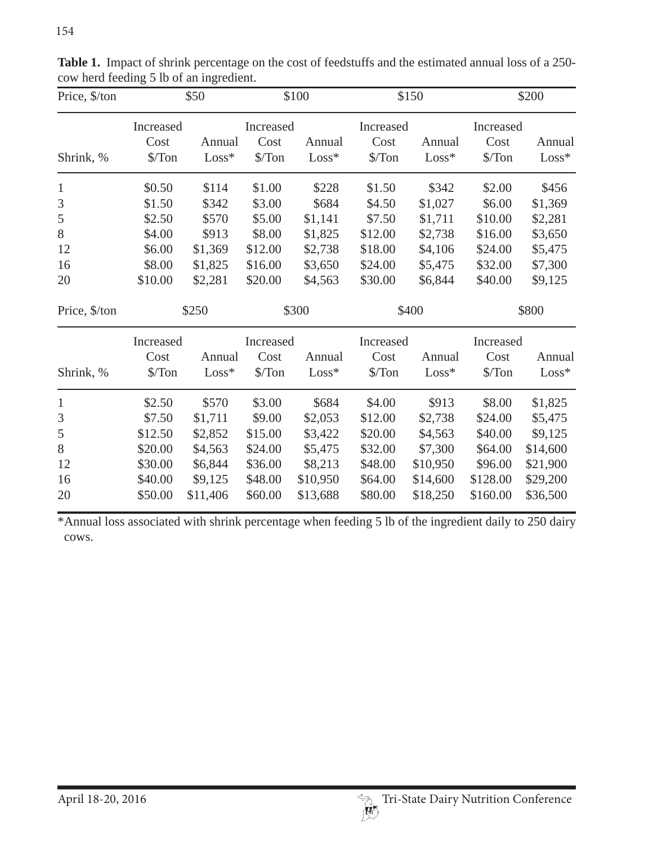| Price, \$/ton | \$50                        |          | \$100                       |          | \$150                       |          | \$200                       |          |
|---------------|-----------------------------|----------|-----------------------------|----------|-----------------------------|----------|-----------------------------|----------|
|               | Increased<br>Cost<br>Annual |          | Increased<br>Cost<br>Annual |          | Increased<br>Cost<br>Annual |          | Increased<br>Cost<br>Annual |          |
| Shrink, %     | $\sqrt{\pi}$ on             | $Loss*$  | $\sqrt{\pi}$ on             | $Loss*$  | $\sqrt{\pi}$ on             | $Loss*$  | $\sqrt{\pi}$ on             | $Loss*$  |
| $\mathbf{1}$  | \$0.50                      | \$114    | \$1.00                      | \$228    | \$1.50                      | \$342    | \$2.00                      | \$456    |
| 3             | \$1.50                      | \$342    | \$3.00                      | \$684    | \$4.50                      | \$1,027  | \$6.00                      | \$1,369  |
| 5             | \$2.50                      | \$570    | \$5.00                      | \$1,141  | \$7.50                      | \$1,711  | \$10.00                     | \$2,281  |
| $8\,$         | \$4.00                      | \$913    | \$8.00                      | \$1,825  | \$12.00                     | \$2,738  | \$16.00                     | \$3,650  |
| 12            | \$6.00                      | \$1,369  | \$12.00                     | \$2,738  | \$18.00                     | \$4,106  | \$24.00                     | \$5,475  |
| 16            | \$8.00                      | \$1,825  | \$16.00                     | \$3,650  | \$24.00                     | \$5,475  | \$32.00                     | \$7,300  |
| 20            | \$10.00                     | \$2,281  | \$20.00                     | \$4,563  | \$30.00                     | \$6,844  | \$40.00                     | \$9,125  |
| Price, \$/ton | \$250                       |          | \$300                       |          | \$400                       |          | \$800                       |          |
|               | Increased                   |          | Increased                   |          | Increased                   |          | Increased                   |          |
|               | Cost                        | Annual   | Cost                        | Annual   | Cost                        | Annual   | Cost                        | Annual   |
| Shrink, %     | $\sqrt{\pi}$ on             | $Loss*$  | \$/Ton                      | $Loss*$  | $\sqrt{\pi}$ on             | $Loss*$  | $\sqrt{\pi}$ on             | $Loss*$  |
| $\mathbf{1}$  | \$2.50                      | \$570    | \$3.00                      | \$684    | \$4.00                      | \$913    | \$8.00                      | \$1,825  |
| 3             | \$7.50                      | \$1,711  | \$9.00                      | \$2,053  | \$12.00                     | \$2,738  | \$24.00                     | \$5,475  |
| 5             | \$12.50                     | \$2,852  | \$15.00                     | \$3,422  | \$20.00                     | \$4,563  | \$40.00                     | \$9,125  |
| 8             | \$20.00                     | \$4,563  | \$24.00                     | \$5,475  | \$32.00                     | \$7,300  | \$64.00                     | \$14,600 |
| 12            | \$30.00                     | \$6,844  | \$36.00                     | \$8,213  | \$48.00                     | \$10,950 | \$96.00                     | \$21,900 |
| 16            | \$40.00                     | \$9,125  | \$48.00                     | \$10,950 | \$64.00                     | \$14,600 | \$128.00                    | \$29,200 |
| 20            | \$50.00                     | \$11,406 | \$60.00                     | \$13,688 | \$80.00                     | \$18,250 | \$160.00                    | \$36,500 |

Table 1. Impact of shrink percentage on the cost of feedstuffs and the estimated annual loss of a 250cow herd feeding 5 lb of an ingredient.

\*Annual loss associated with shrink percentage when feeding 5 lb of the ingredient daily to 250 dairy cows.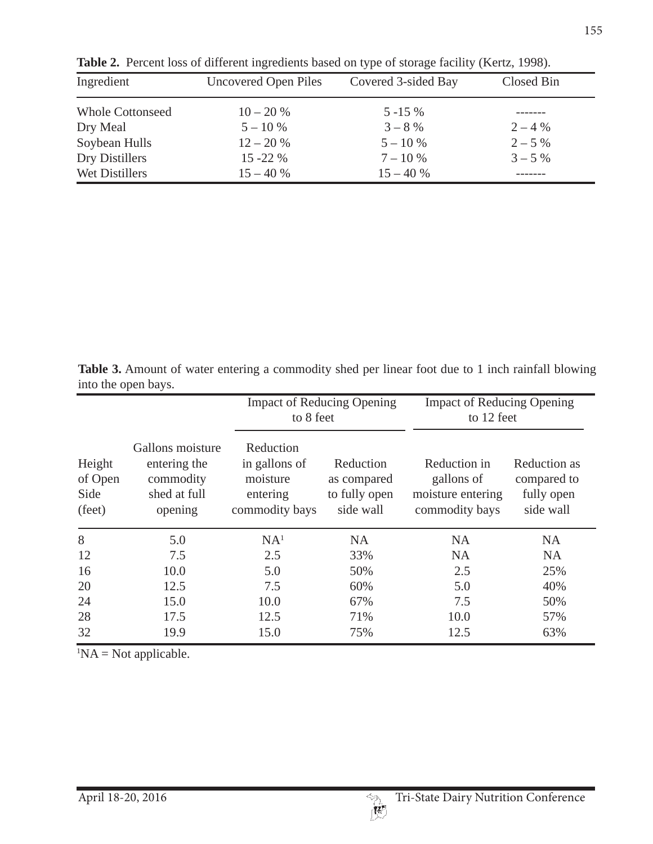| Ingredient              | <b>Uncovered Open Piles</b> | Covered 3-sided Bay | Closed Bin |  |
|-------------------------|-----------------------------|---------------------|------------|--|
| <b>Whole Cottonseed</b> | $10 - 20%$                  | $5 - 15\%$          |            |  |
| Dry Meal                | $5 - 10\%$                  | $3 - 8\%$           | $2 - 4\%$  |  |
| Soybean Hulls           | $12 - 20%$                  | $5 - 10\%$          | $2 - 5\%$  |  |
| Dry Distillers          | $15 - 22 \%$                | $7 - 10\%$          | $3 - 5\%$  |  |
| Wet Distillers          | $15 - 40%$                  | $15 - 40%$          |            |  |

**Table 2.** Percent loss of different ingredients based on type of storage facility (Kertz, 1998).

**Table 3.** Amount of water entering a commodity shed per linear foot due to 1 inch rainfall blowing into the open bays.

|                                     |                                                                          | to 8 feet                                                            | <b>Impact of Reducing Opening</b>                      | <b>Impact of Reducing Opening</b><br>to 12 feet                   |                                                        |  |
|-------------------------------------|--------------------------------------------------------------------------|----------------------------------------------------------------------|--------------------------------------------------------|-------------------------------------------------------------------|--------------------------------------------------------|--|
| Height<br>of Open<br>Side<br>(feet) | Gallons moisture<br>entering the<br>commodity<br>shed at full<br>opening | Reduction<br>in gallons of<br>moisture<br>entering<br>commodity bays | Reduction<br>as compared<br>to fully open<br>side wall | Reduction in<br>gallons of<br>moisture entering<br>commodity bays | Reduction as<br>compared to<br>fully open<br>side wall |  |
| 8                                   | 5.0                                                                      | NA <sup>1</sup>                                                      | <b>NA</b>                                              | <b>NA</b>                                                         | NA.                                                    |  |
| 12                                  | 7.5                                                                      | 2.5                                                                  | 33%                                                    | <b>NA</b>                                                         | <b>NA</b>                                              |  |
| 16                                  | 10.0                                                                     | 5.0                                                                  | 50%                                                    | 2.5                                                               | 25%                                                    |  |
| 20                                  | 12.5                                                                     | 7.5                                                                  | 60%                                                    | 5.0                                                               | 40%                                                    |  |
| 24                                  | 15.0                                                                     | 10.0                                                                 | 67%                                                    | 7.5                                                               | 50%                                                    |  |
| 28                                  | 17.5                                                                     | 12.5                                                                 | 71%                                                    | 10.0                                                              | 57%                                                    |  |
| 32                                  | 19.9                                                                     | 15.0                                                                 | 75%                                                    | 12.5                                                              | 63%                                                    |  |

 ${}^{1}NA = Not$  applicable.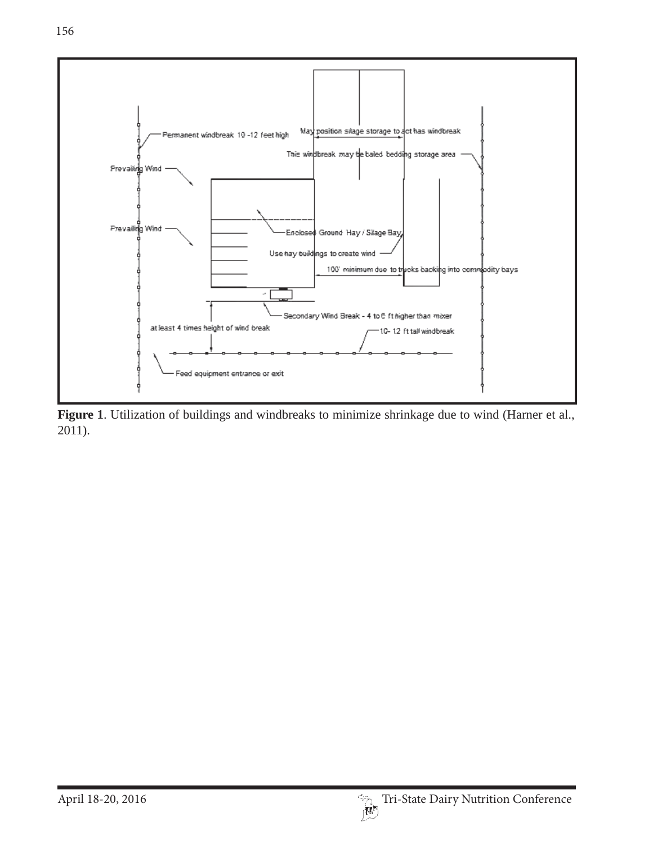

**Figure 1**. Utilization of buildings and windbreaks to minimize shrinkage due to wind (Harner et al., 2011).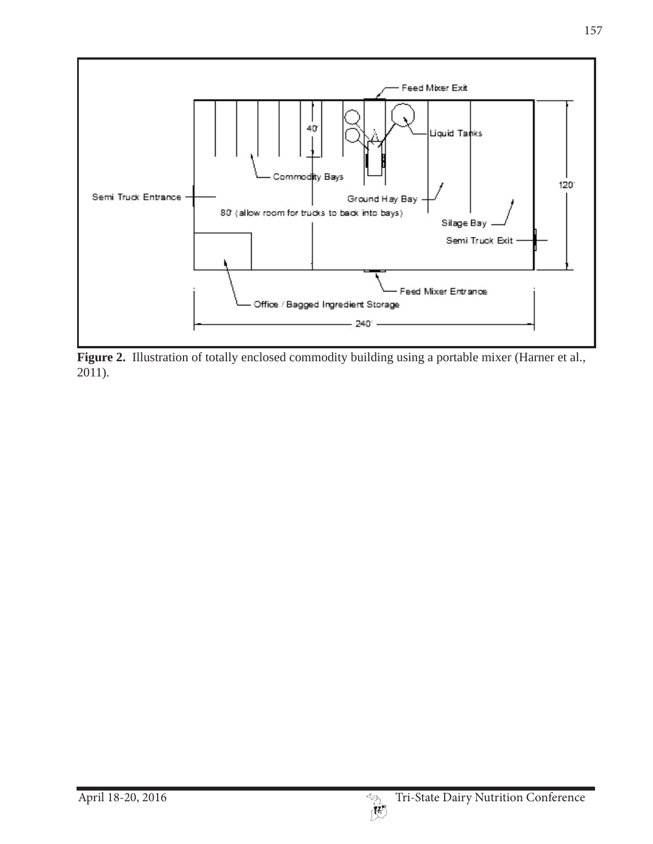

Figure 2. Illustration of totally enclosed commodity building using a portable mixer (Harner et al., 2011).